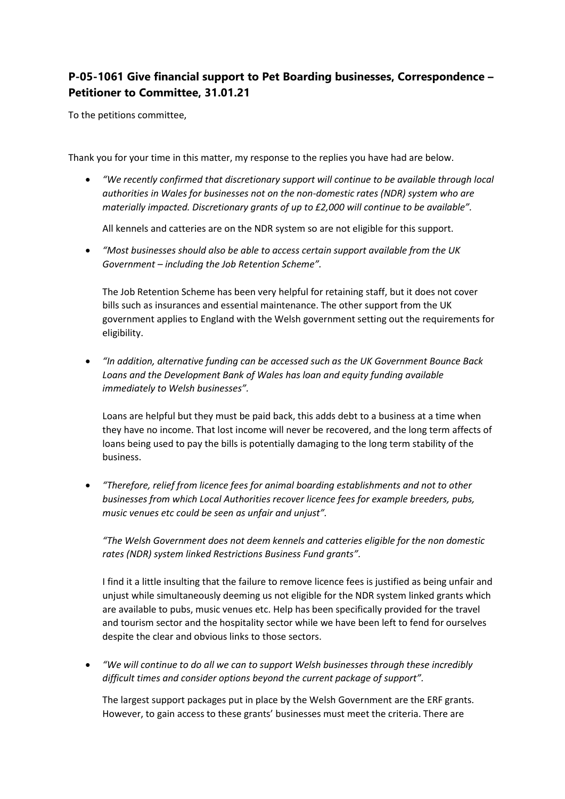## **P-05-1061 Give financial support to Pet Boarding businesses, Correspondence – Petitioner to Committee, 31.01.21**

To the petitions committee,

Thank you for your time in this matter, my response to the replies you have had are below.

 *"We recently confirmed that discretionary support will continue to be available through local authorities in Wales for businesses not on the non-domestic rates (NDR) system who are materially impacted. Discretionary grants of up to £2,000 will continue to be available".*

All kennels and catteries are on the NDR system so are not eligible for this support.

 *"Most businesses should also be able to access certain support available from the UK Government – including the Job Retention Scheme".*

The Job Retention Scheme has been very helpful for retaining staff, but it does not cover bills such as insurances and essential maintenance. The other support from the UK government applies to England with the Welsh government setting out the requirements for eligibility.

 *"In addition, alternative funding can be accessed such as the UK Government Bounce Back Loans and the Development Bank of Wales has loan and equity funding available immediately to Welsh businesses".*

Loans are helpful but they must be paid back, this adds debt to a business at a time when they have no income. That lost income will never be recovered, and the long term affects of loans being used to pay the bills is potentially damaging to the long term stability of the business.

 *"Therefore, relief from licence fees for animal boarding establishments and not to other businesses from which Local Authorities recover licence fees for example breeders, pubs, music venues etc could be seen as unfair and unjust".*

*"The Welsh Government does not deem kennels and catteries eligible for the non domestic rates (NDR) system linked Restrictions Business Fund grants".*

I find it a little insulting that the failure to remove licence fees is justified as being unfair and unjust while simultaneously deeming us not eligible for the NDR system linked grants which are available to pubs, music venues etc. Help has been specifically provided for the travel and tourism sector and the hospitality sector while we have been left to fend for ourselves despite the clear and obvious links to those sectors.

 *"We will continue to do all we can to support Welsh businesses through these incredibly difficult times and consider options beyond the current package of support".*

The largest support packages put in place by the Welsh Government are the ERF grants. However, to gain access to these grants' businesses must meet the criteria. There are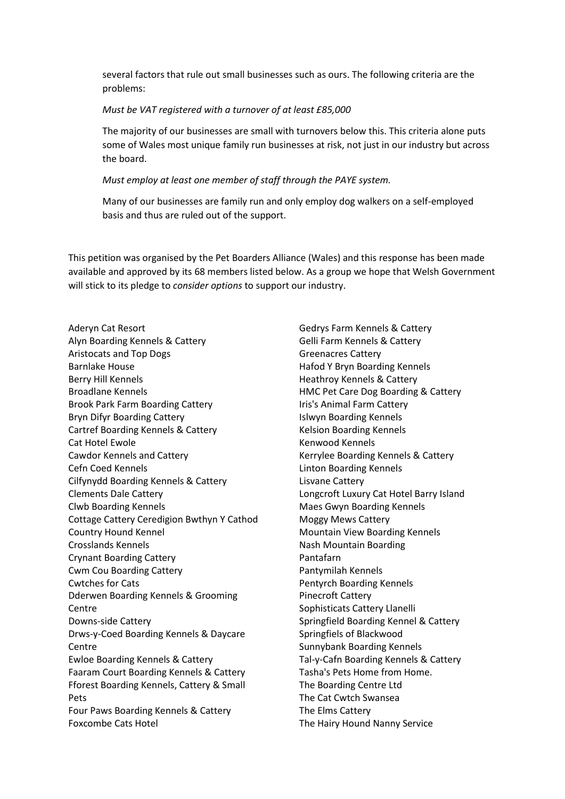several factors that rule out small businesses such as ours. The following criteria are the problems:

## *Must be VAT registered with a turnover of at least £85,000*

The majority of our businesses are small with turnovers below this. This criteria alone puts some of Wales most unique family run businesses at risk, not just in our industry but across the board.

## *Must employ at least one member of staff through the PAYE system.*

Many of our businesses are family run and only employ dog walkers on a self-employed basis and thus are ruled out of the support.

This petition was organised by the Pet Boarders Alliance (Wales) and this response has been made available and approved by its 68 members listed below. As a group we hope that Welsh Government will stick to its pledge to *consider options* to support our industry.

Aderyn Cat Resort Alyn Boarding Kennels & Cattery Aristocats and Top Dogs Barnlake House Berry Hill Kennels Broadlane Kennels Brook Park Farm Boarding Cattery Bryn Difyr Boarding Cattery Cartref Boarding Kennels & Cattery Cat Hotel Ewole Cawdor Kennels and Cattery Cefn Coed Kennels Cilfynydd Boarding Kennels & Cattery Clements Dale Cattery Clwb Boarding Kennels Cottage Cattery Ceredigion Bwthyn Y Cathod Country Hound Kennel Crosslands Kennels Crynant Boarding Cattery Cwm Cou Boarding Cattery Cwtches for Cats Dderwen Boarding Kennels & Grooming Centre Downs-side Cattery Drws-y-Coed Boarding Kennels & Daycare **Centre** Ewloe Boarding Kennels & Cattery Faaram Court Boarding Kennels & Cattery Fforest Boarding Kennels, Cattery & Small Pets Four Paws Boarding Kennels & Cattery Foxcombe Cats Hotel

Gedrys Farm Kennels & Cattery Gelli Farm Kennels & Cattery Greenacres Cattery Hafod Y Bryn Boarding Kennels Heathroy Kennels & Cattery HMC Pet Care Dog Boarding & Cattery Iris's Animal Farm Cattery Islwyn Boarding Kennels Kelsion Boarding Kennels Kenwood Kennels Kerrylee Boarding Kennels & Cattery Linton Boarding Kennels Lisvane Cattery Longcroft Luxury Cat Hotel Barry Island Maes Gwyn Boarding Kennels Moggy Mews Cattery Mountain View Boarding Kennels Nash Mountain Boarding Pantafarn Pantymilah Kennels Pentyrch Boarding Kennels Pinecroft Cattery Sophisticats Cattery Llanelli Springfield Boarding Kennel & Cattery Springfiels of Blackwood Sunnybank Boarding Kennels Tal-y-Cafn Boarding Kennels & Cattery Tasha's Pets Home from Home. The Boarding Centre Ltd The Cat Cwtch Swansea The Elms Cattery The Hairy Hound Nanny Service